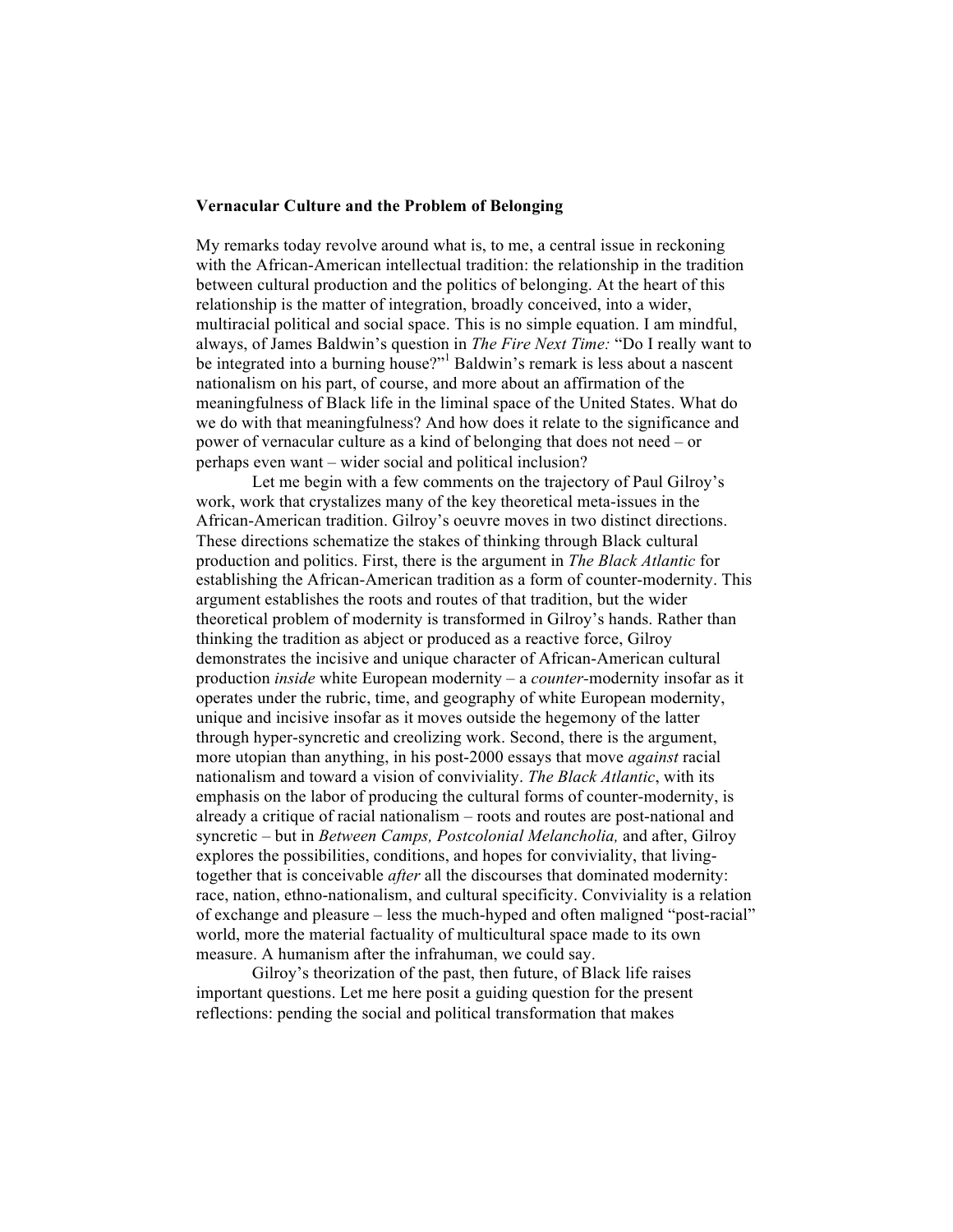## **Vernacular Culture and the Problem of Belonging**

My remarks today revolve around what is, to me, a central issue in reckoning with the African-American intellectual tradition: the relationship in the tradition between cultural production and the politics of belonging. At the heart of this relationship is the matter of integration, broadly conceived, into a wider, multiracial political and social space. This is no simple equation. I am mindful, always, of James Baldwin's question in *The Fire Next Time:* "Do I really want to be integrated into a burning house?"<sup>1</sup> Baldwin's remark is less about a nascent nationalism on his part, of course, and more about an affirmation of the meaningfulness of Black life in the liminal space of the United States. What do we do with that meaningfulness? And how does it relate to the significance and power of vernacular culture as a kind of belonging that does not need – or perhaps even want – wider social and political inclusion?

Let me begin with a few comments on the trajectory of Paul Gilroy's work, work that crystalizes many of the key theoretical meta-issues in the African-American tradition. Gilroy's oeuvre moves in two distinct directions. These directions schematize the stakes of thinking through Black cultural production and politics. First, there is the argument in *The Black Atlantic* for establishing the African-American tradition as a form of counter-modernity. This argument establishes the roots and routes of that tradition, but the wider theoretical problem of modernity is transformed in Gilroy's hands. Rather than thinking the tradition as abject or produced as a reactive force, Gilroy demonstrates the incisive and unique character of African-American cultural production *inside* white European modernity – a *counter-*modernity insofar as it operates under the rubric, time, and geography of white European modernity, unique and incisive insofar as it moves outside the hegemony of the latter through hyper-syncretic and creolizing work. Second, there is the argument, more utopian than anything, in his post-2000 essays that move *against* racial nationalism and toward a vision of conviviality. *The Black Atlantic*, with its emphasis on the labor of producing the cultural forms of counter-modernity, is already a critique of racial nationalism – roots and routes are post-national and syncretic – but in *Between Camps, Postcolonial Melancholia,* and after, Gilroy explores the possibilities, conditions, and hopes for conviviality, that livingtogether that is conceivable *after* all the discourses that dominated modernity: race, nation, ethno-nationalism, and cultural specificity. Conviviality is a relation of exchange and pleasure – less the much-hyped and often maligned "post-racial" world, more the material factuality of multicultural space made to its own measure. A humanism after the infrahuman, we could say.

Gilroy's theorization of the past, then future, of Black life raises important questions. Let me here posit a guiding question for the present reflections: pending the social and political transformation that makes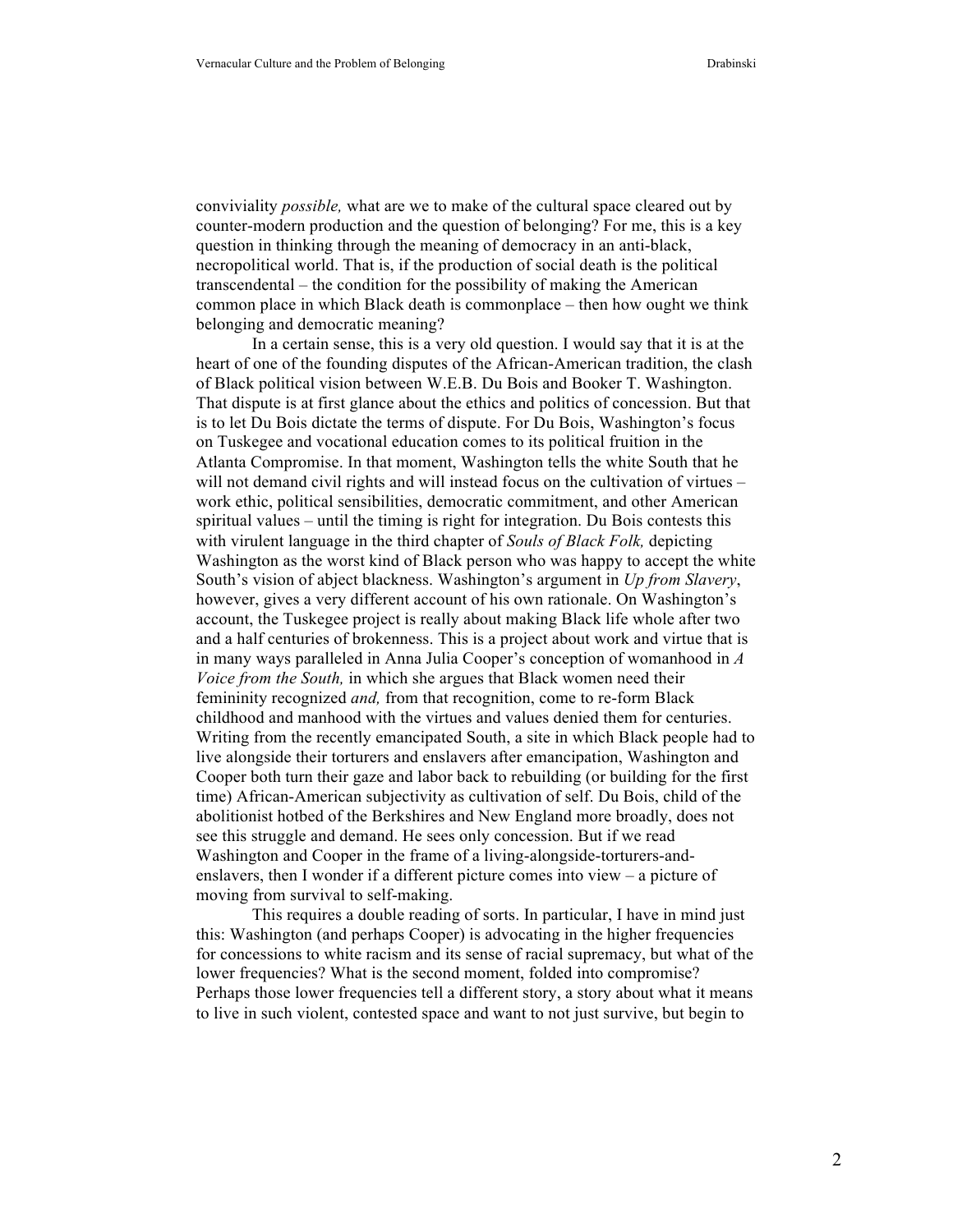conviviality *possible,* what are we to make of the cultural space cleared out by counter-modern production and the question of belonging? For me, this is a key question in thinking through the meaning of democracy in an anti-black, necropolitical world. That is, if the production of social death is the political transcendental – the condition for the possibility of making the American common place in which Black death is commonplace – then how ought we think belonging and democratic meaning?

In a certain sense, this is a very old question. I would say that it is at the heart of one of the founding disputes of the African-American tradition, the clash of Black political vision between W.E.B. Du Bois and Booker T. Washington. That dispute is at first glance about the ethics and politics of concession. But that is to let Du Bois dictate the terms of dispute. For Du Bois, Washington's focus on Tuskegee and vocational education comes to its political fruition in the Atlanta Compromise. In that moment, Washington tells the white South that he will not demand civil rights and will instead focus on the cultivation of virtues – work ethic, political sensibilities, democratic commitment, and other American spiritual values – until the timing is right for integration. Du Bois contests this with virulent language in the third chapter of *Souls of Black Folk,* depicting Washington as the worst kind of Black person who was happy to accept the white South's vision of abject blackness. Washington's argument in *Up from Slavery*, however, gives a very different account of his own rationale. On Washington's account, the Tuskegee project is really about making Black life whole after two and a half centuries of brokenness. This is a project about work and virtue that is in many ways paralleled in Anna Julia Cooper's conception of womanhood in *A Voice from the South,* in which she argues that Black women need their femininity recognized *and,* from that recognition, come to re-form Black childhood and manhood with the virtues and values denied them for centuries. Writing from the recently emancipated South, a site in which Black people had to live alongside their torturers and enslavers after emancipation, Washington and Cooper both turn their gaze and labor back to rebuilding (or building for the first time) African-American subjectivity as cultivation of self. Du Bois, child of the abolitionist hotbed of the Berkshires and New England more broadly, does not see this struggle and demand. He sees only concession. But if we read Washington and Cooper in the frame of a living-alongside-torturers-andenslavers, then I wonder if a different picture comes into view – a picture of moving from survival to self-making.

This requires a double reading of sorts. In particular, I have in mind just this: Washington (and perhaps Cooper) is advocating in the higher frequencies for concessions to white racism and its sense of racial supremacy, but what of the lower frequencies? What is the second moment, folded into compromise? Perhaps those lower frequencies tell a different story, a story about what it means to live in such violent, contested space and want to not just survive, but begin to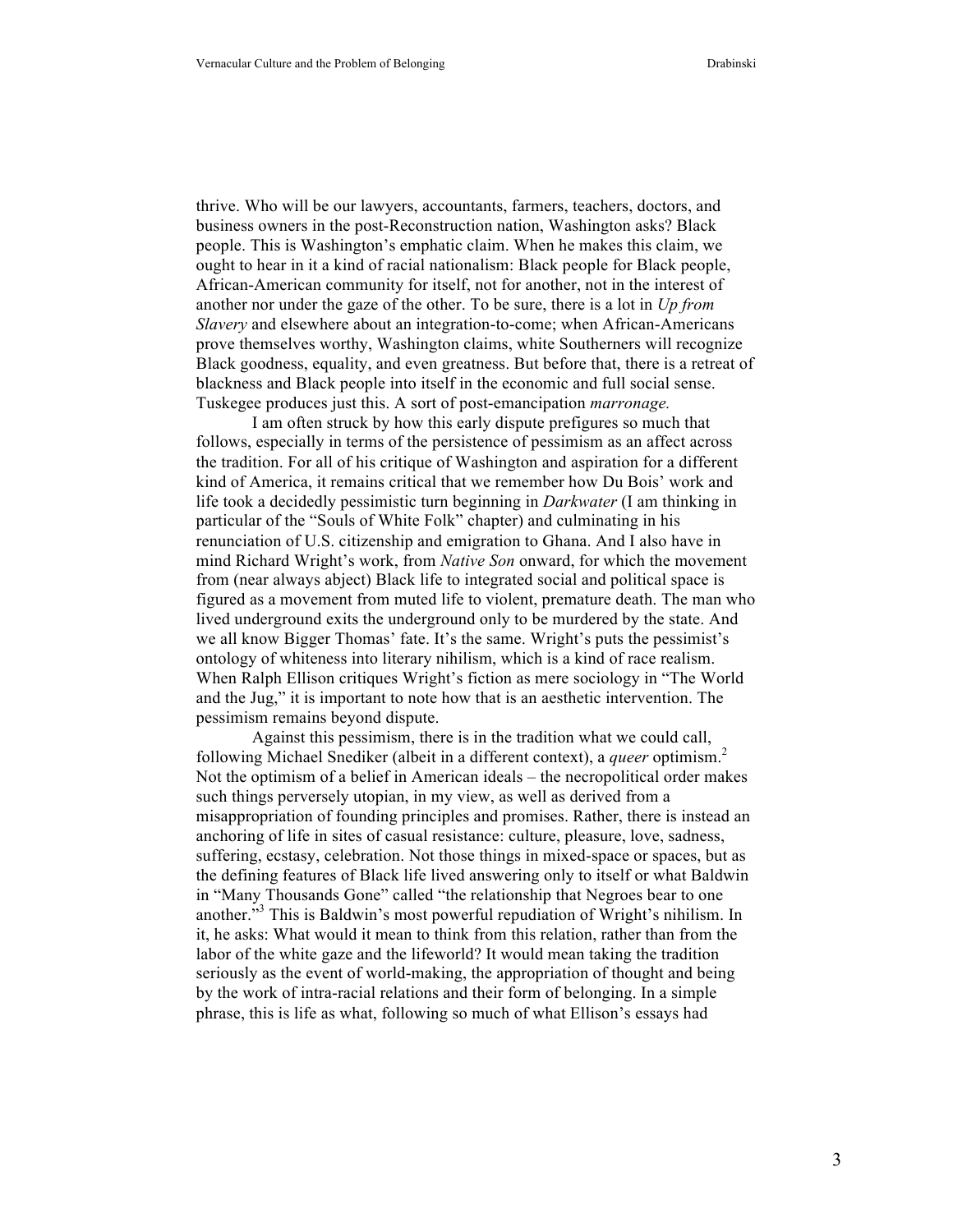thrive. Who will be our lawyers, accountants, farmers, teachers, doctors, and business owners in the post-Reconstruction nation, Washington asks? Black people. This is Washington's emphatic claim. When he makes this claim, we ought to hear in it a kind of racial nationalism: Black people for Black people, African-American community for itself, not for another, not in the interest of another nor under the gaze of the other. To be sure, there is a lot in *Up from Slavery* and elsewhere about an integration-to-come; when African-Americans prove themselves worthy, Washington claims, white Southerners will recognize Black goodness, equality, and even greatness. But before that, there is a retreat of blackness and Black people into itself in the economic and full social sense. Tuskegee produces just this. A sort of post-emancipation *marronage.*

I am often struck by how this early dispute prefigures so much that follows, especially in terms of the persistence of pessimism as an affect across the tradition. For all of his critique of Washington and aspiration for a different kind of America, it remains critical that we remember how Du Bois' work and life took a decidedly pessimistic turn beginning in *Darkwater* (I am thinking in particular of the "Souls of White Folk" chapter) and culminating in his renunciation of U.S. citizenship and emigration to Ghana. And I also have in mind Richard Wright's work, from *Native Son* onward, for which the movement from (near always abject) Black life to integrated social and political space is figured as a movement from muted life to violent, premature death. The man who lived underground exits the underground only to be murdered by the state. And we all know Bigger Thomas' fate. It's the same. Wright's puts the pessimist's ontology of whiteness into literary nihilism, which is a kind of race realism. When Ralph Ellison critiques Wright's fiction as mere sociology in "The World and the Jug," it is important to note how that is an aesthetic intervention. The pessimism remains beyond dispute.

Against this pessimism, there is in the tradition what we could call, following Michael Snediker (albeit in a different context), a *queer* optimism.<sup>2</sup> Not the optimism of a belief in American ideals – the necropolitical order makes such things perversely utopian, in my view, as well as derived from a misappropriation of founding principles and promises. Rather, there is instead an anchoring of life in sites of casual resistance: culture, pleasure, love, sadness, suffering, ecstasy, celebration. Not those things in mixed-space or spaces, but as the defining features of Black life lived answering only to itself or what Baldwin in "Many Thousands Gone" called "the relationship that Negroes bear to one another."<sup>3</sup> This is Baldwin's most powerful repudiation of Wright's nihilism. In it, he asks: What would it mean to think from this relation, rather than from the labor of the white gaze and the lifeworld? It would mean taking the tradition seriously as the event of world-making, the appropriation of thought and being by the work of intra-racial relations and their form of belonging. In a simple phrase, this is life as what, following so much of what Ellison's essays had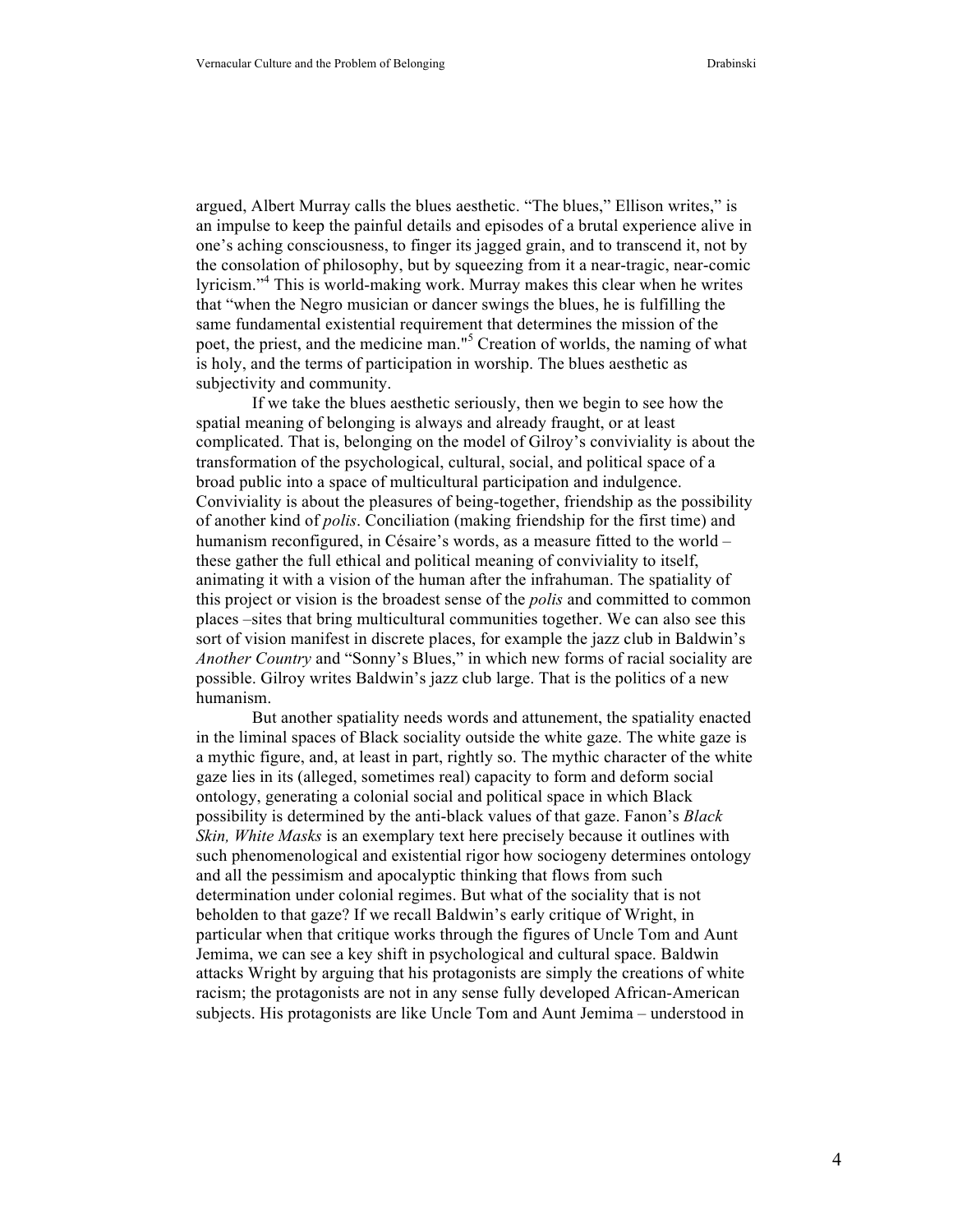argued, Albert Murray calls the blues aesthetic. "The blues," Ellison writes," is an impulse to keep the painful details and episodes of a brutal experience alive in one's aching consciousness, to finger its jagged grain, and to transcend it, not by the consolation of philosophy, but by squeezing from it a near-tragic, near-comic lyricism."<sup>4</sup> This is world-making work. Murray makes this clear when he writes that "when the Negro musician or dancer swings the blues, he is fulfilling the same fundamental existential requirement that determines the mission of the poet, the priest, and the medicine man."<sup>5</sup> Creation of worlds, the naming of what is holy, and the terms of participation in worship. The blues aesthetic as subjectivity and community.

If we take the blues aesthetic seriously, then we begin to see how the spatial meaning of belonging is always and already fraught, or at least complicated. That is, belonging on the model of Gilroy's conviviality is about the transformation of the psychological, cultural, social, and political space of a broad public into a space of multicultural participation and indulgence. Conviviality is about the pleasures of being-together, friendship as the possibility of another kind of *polis*. Conciliation (making friendship for the first time) and humanism reconfigured, in Césaire's words, as a measure fitted to the world – these gather the full ethical and political meaning of conviviality to itself, animating it with a vision of the human after the infrahuman. The spatiality of this project or vision is the broadest sense of the *polis* and committed to common places –sites that bring multicultural communities together. We can also see this sort of vision manifest in discrete places, for example the jazz club in Baldwin's *Another Country* and "Sonny's Blues," in which new forms of racial sociality are possible. Gilroy writes Baldwin's jazz club large. That is the politics of a new humanism.

But another spatiality needs words and attunement, the spatiality enacted in the liminal spaces of Black sociality outside the white gaze. The white gaze is a mythic figure, and, at least in part, rightly so. The mythic character of the white gaze lies in its (alleged, sometimes real) capacity to form and deform social ontology, generating a colonial social and political space in which Black possibility is determined by the anti-black values of that gaze. Fanon's *Black Skin, White Masks* is an exemplary text here precisely because it outlines with such phenomenological and existential rigor how sociogeny determines ontology and all the pessimism and apocalyptic thinking that flows from such determination under colonial regimes. But what of the sociality that is not beholden to that gaze? If we recall Baldwin's early critique of Wright, in particular when that critique works through the figures of Uncle Tom and Aunt Jemima, we can see a key shift in psychological and cultural space. Baldwin attacks Wright by arguing that his protagonists are simply the creations of white racism; the protagonists are not in any sense fully developed African-American subjects. His protagonists are like Uncle Tom and Aunt Jemima – understood in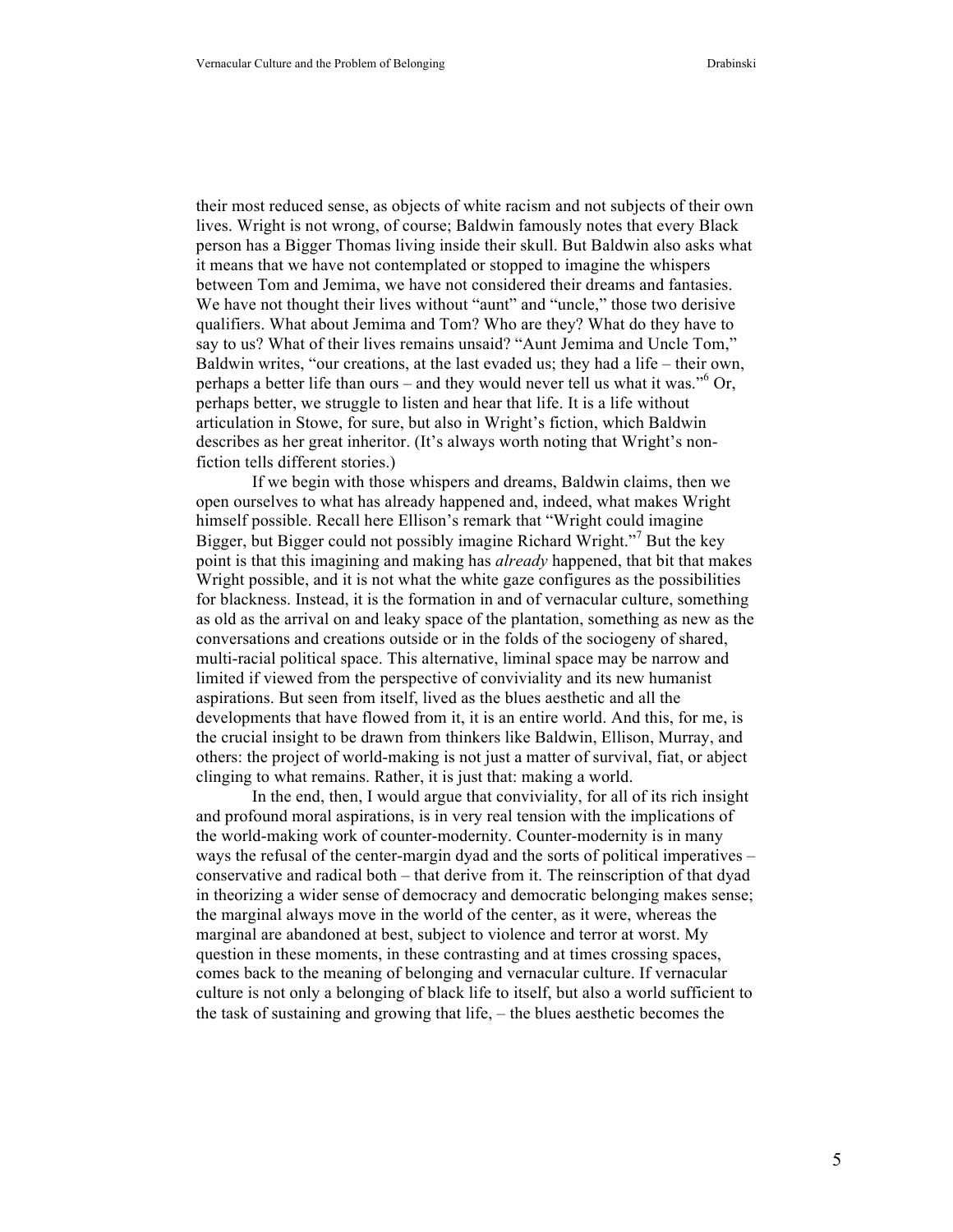their most reduced sense, as objects of white racism and not subjects of their own lives. Wright is not wrong, of course; Baldwin famously notes that every Black person has a Bigger Thomas living inside their skull. But Baldwin also asks what it means that we have not contemplated or stopped to imagine the whispers between Tom and Jemima, we have not considered their dreams and fantasies. We have not thought their lives without "aunt" and "uncle," those two derisive qualifiers. What about Jemima and Tom? Who are they? What do they have to say to us? What of their lives remains unsaid? "Aunt Jemima and Uncle Tom," Baldwin writes, "our creations, at the last evaded us; they had a life – their own, perhaps a better life than ours – and they would never tell us what it was."<sup>6</sup> Or, perhaps better, we struggle to listen and hear that life. It is a life without articulation in Stowe, for sure, but also in Wright's fiction, which Baldwin describes as her great inheritor. (It's always worth noting that Wright's nonfiction tells different stories.)

If we begin with those whispers and dreams, Baldwin claims, then we open ourselves to what has already happened and, indeed, what makes Wright himself possible. Recall here Ellison's remark that "Wright could imagine Bigger, but Bigger could not possibly imagine Richard Wright."<sup>7</sup> But the key point is that this imagining and making has *already* happened, that bit that makes Wright possible, and it is not what the white gaze configures as the possibilities for blackness. Instead, it is the formation in and of vernacular culture, something as old as the arrival on and leaky space of the plantation, something as new as the conversations and creations outside or in the folds of the sociogeny of shared, multi-racial political space. This alternative, liminal space may be narrow and limited if viewed from the perspective of conviviality and its new humanist aspirations. But seen from itself, lived as the blues aesthetic and all the developments that have flowed from it, it is an entire world. And this, for me, is the crucial insight to be drawn from thinkers like Baldwin, Ellison, Murray, and others: the project of world-making is not just a matter of survival, fiat, or abject clinging to what remains. Rather, it is just that: making a world.

In the end, then, I would argue that conviviality, for all of its rich insight and profound moral aspirations, is in very real tension with the implications of the world-making work of counter-modernity. Counter-modernity is in many ways the refusal of the center-margin dyad and the sorts of political imperatives – conservative and radical both – that derive from it. The reinscription of that dyad in theorizing a wider sense of democracy and democratic belonging makes sense; the marginal always move in the world of the center, as it were, whereas the marginal are abandoned at best, subject to violence and terror at worst. My question in these moments, in these contrasting and at times crossing spaces, comes back to the meaning of belonging and vernacular culture. If vernacular culture is not only a belonging of black life to itself, but also a world sufficient to the task of sustaining and growing that life, – the blues aesthetic becomes the